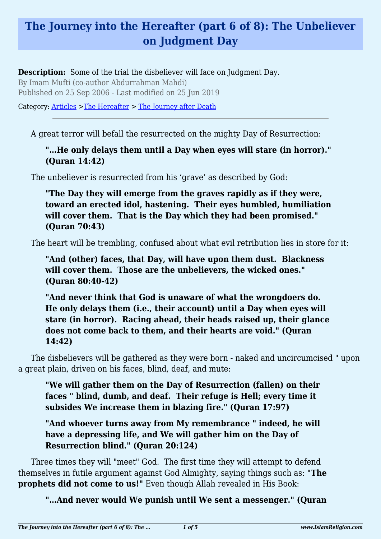# **The Journey into the Hereafter (part 6 of 8): The Unbeliever on Judgment Day**

**Description:** Some of the trial the disbeliever will face on Judgment Day.

By Imam Mufti (co-author Abdurrahman Mahdi) Published on 25 Sep 2006 - Last modified on 25 Jun 2019

Category: [Articles](http://www.islamreligion.com/articles/) >[The Hereafter](http://www.islamreligion.com/category/59/) > [The Journey after Death](http://www.islamreligion.com/category/62/)

A great terror will befall the resurrected on the mighty Day of Resurrection:

**"…He only delays them until a Day when eyes will stare (in horror)." (Quran 14:42)**

The unbeliever is resurrected from his 'grave' as described by God:

**"The Day they will emerge from the graves rapidly as if they were, toward an erected idol, hastening. Their eyes humbled, humiliation will cover them. That is the Day which they had been promised." (Quran 70:43)**

The heart will be trembling, confused about what evil retribution lies in store for it:

**"And (other) faces, that Day, will have upon them dust. Blackness will cover them. Those are the unbelievers, the wicked ones." (Quran 80:40-42)**

**"And never think that God is unaware of what the wrongdoers do. He only delays them (i.e., their account) until a Day when eyes will stare (in horror). Racing ahead, their heads raised up, their glance does not come back to them, and their hearts are void." (Quran 14:42)**

The disbelievers will be gathered as they were born - naked and uncircumcised " upon a great plain, driven on his faces, blind, deaf, and mute:

**"We will gather them on the Day of Resurrection (fallen) on their faces " blind, dumb, and deaf. Their refuge is Hell; every time it subsides We increase them in blazing fire." (Quran 17:97)**

**"And whoever turns away from My remembrance " indeed, he will have a depressing life, and We will gather him on the Day of Resurrection blind." (Quran 20:124)**

Three times they will "meet" God. The first time they will attempt to defend themselves in futile argument against God Almighty, saying things such as: **"The prophets did not come to us!"** Even though Allah revealed in His Book:

**"…And never would We punish until We sent a messenger." (Quran**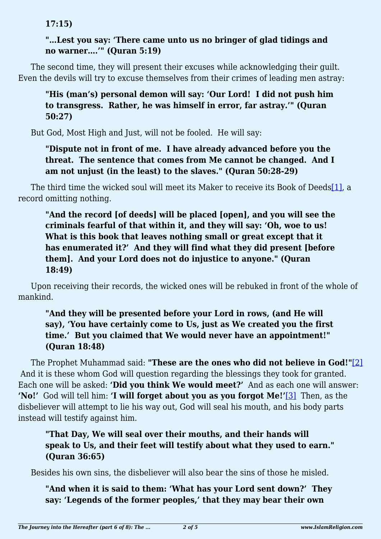**17:15)**

#### **"…Lest you say: 'There came unto us no bringer of glad tidings and no warner….'" (Quran 5:19)**

The second time, they will present their excuses while acknowledging their guilt. Even the devils will try to excuse themselves from their crimes of leading men astray:

#### **"His (man's) personal demon will say: 'Our Lord! I did not push him to transgress. Rather, he was himself in error, far astray.'" (Quran 50:27)**

But God, Most High and Just, will not be fooled. He will say:

## **"Dispute not in front of me. I have already advanced before you the threat. The sentence that comes from Me cannot be changed. And I am not unjust (in the least) to the slaves." (Quran 50:28-29)**

<span id="page-1-0"></span>The third time the wicked soul will meet its Maker to receive its Book of Deed[s\[1\],](#page-3-0) a record omitting nothing.

## **"And the record [of deeds] will be placed [open], and you will see the criminals fearful of that within it, and they will say: 'Oh, woe to us! What is this book that leaves nothing small or great except that it has enumerated it?' And they will find what they did present [before them]. And your Lord does not do injustice to anyone." (Quran 18:49)**

Upon receiving their records, the wicked ones will be rebuked in front of the whole of mankind.

## **"And they will be presented before your Lord in rows, (and He will say), 'You have certainly come to Us, just as We created you the first time.' But you claimed that We would never have an appointment!" (Quran 18:48)**

<span id="page-1-2"></span><span id="page-1-1"></span>The Prophet Muhammad said: **"These are the ones who did not believe in God!"**[\[2\]](#page-3-1) And it is these whom God will question regarding the blessings they took for granted. Each one will be asked: **'Did you think We would meet?'** And as each one will answer: **'No!'** God will tell him: **'I will forget about you as you forgot Me!'**[\[3\]](#page-3-2) Then, as the disbeliever will attempt to lie his way out, God will seal his mouth, and his body parts instead will testify against him.

## **"That Day, We will seal over their mouths, and their hands will speak to Us, and their feet will testify about what they used to earn." (Quran 36:65)**

Besides his own sins, the disbeliever will also bear the sins of those he misled.

## **"And when it is said to them: 'What has your Lord sent down?' They say: 'Legends of the former peoples,' that they may bear their own**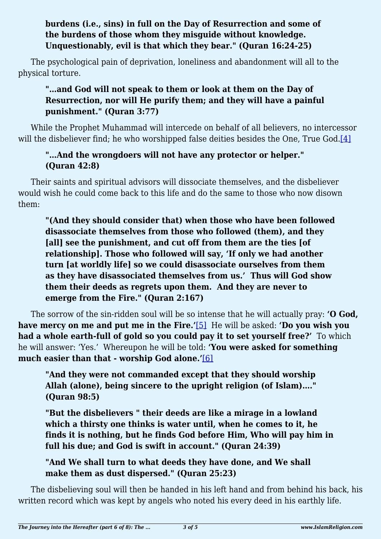#### **burdens (i.e., sins) in full on the Day of Resurrection and some of the burdens of those whom they misguide without knowledge. Unquestionably, evil is that which they bear." (Quran 16:24-25)**

The psychological pain of deprivation, loneliness and abandonment will all to the physical torture.

## **"…and God will not speak to them or look at them on the Day of Resurrection, nor will He purify them; and they will have a painful punishment." (Quran 3:77)**

<span id="page-2-0"></span>While the Prophet Muhammad will intercede on behalf of all believers, no intercessor will the disbeliever find; he who worshipped false deities besides the One, True God.[\[4\]](#page-3-3)

## **"…And the wrongdoers will not have any protector or helper." (Quran 42:8)**

Their saints and spiritual advisors will dissociate themselves, and the disbeliever would wish he could come back to this life and do the same to those who now disown them:

**"(And they should consider that) when those who have been followed disassociate themselves from those who followed (them), and they [all] see the punishment, and cut off from them are the ties [of relationship]. Those who followed will say, 'If only we had another turn [at worldly life] so we could disassociate ourselves from them as they have disassociated themselves from us.' Thus will God show them their deeds as regrets upon them. And they are never to emerge from the Fire." (Quran 2:167)**

<span id="page-2-2"></span><span id="page-2-1"></span>The sorrow of the sin-ridden soul will be so intense that he will actually pray: **'O God, have mercy on me and put me in the Fire.'**[\[5\]](#page-3-4) He will be asked: **'Do you wish you had a whole earth-full of gold so you could pay it to set yourself free?'** To which he will answer: 'Yes.' Whereupon he will be told: **'You were asked for something much easier than that - worship God alone.'**[\[6\]](#page-3-5)

**"And they were not commanded except that they should worship Allah (alone), being sincere to the upright religion (of Islam)…." (Quran 98:5)**

**"But the disbelievers " their deeds are like a mirage in a lowland which a thirsty one thinks is water until, when he comes to it, he finds it is nothing, but he finds God before Him, Who will pay him in full his due; and God is swift in account." (Quran 24:39)**

## **"And We shall turn to what deeds they have done, and We shall make them as dust dispersed." (Quran 25:23)**

The disbelieving soul will then be handed in his left hand and from behind his back, his written record which was kept by angels who noted his every deed in his earthly life.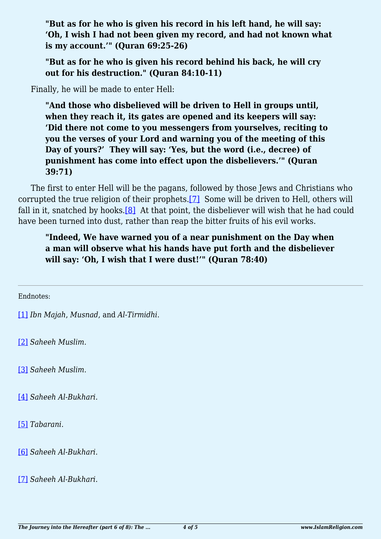**"But as for he who is given his record in his left hand, he will say: 'Oh, I wish I had not been given my record, and had not known what is my account.'" (Quran 69:25-26)**

**"But as for he who is given his record behind his back, he will cry out for his destruction." (Quran 84:10-11)**

Finally, he will be made to enter Hell:

**"And those who disbelieved will be driven to Hell in groups until, when they reach it, its gates are opened and its keepers will say: 'Did there not come to you messengers from yourselves, reciting to you the verses of your Lord and warning you of the meeting of this Day of yours?' They will say: 'Yes, but the word (i.e., decree) of punishment has come into effect upon the disbelievers.'" (Quran 39:71)**

<span id="page-3-9"></span><span id="page-3-8"></span>The first to enter Hell will be the pagans, followed by those Jews and Christians who corrupted the true religion of their prophets.[\[7\]](#page-3-6) Some will be driven to Hell, others will fall in it, snatched by hooks.<sup>[8]</sup> At that point, the disbeliever will wish that he had could have been turned into dust, rather than reap the bitter fruits of his evil works.

**"Indeed, We have warned you of a near punishment on the Day when a man will observe what his hands have put forth and the disbeliever will say: 'Oh, I wish that I were dust!'" (Quran 78:40)**

<span id="page-3-0"></span>Endnotes:

[\[1\]](#page-1-0) *Ibn Majah*, *Musnad*, and *Al-Tirmidhi*.

<span id="page-3-1"></span>[\[2\]](#page-1-1) *Saheeh Muslim*.

<span id="page-3-2"></span>[\[3\]](#page-1-2) *Saheeh Muslim*.

<span id="page-3-3"></span>[\[4\]](#page-2-0) *Saheeh Al-Bukhari.*

<span id="page-3-4"></span>[\[5\]](#page-2-1) *Tabarani*.

<span id="page-3-5"></span>[\[6\]](#page-2-2) *Saheeh Al-Bukhari*.

<span id="page-3-7"></span><span id="page-3-6"></span>[\[7\]](#page-3-8) *Saheeh Al-Bukhari*.